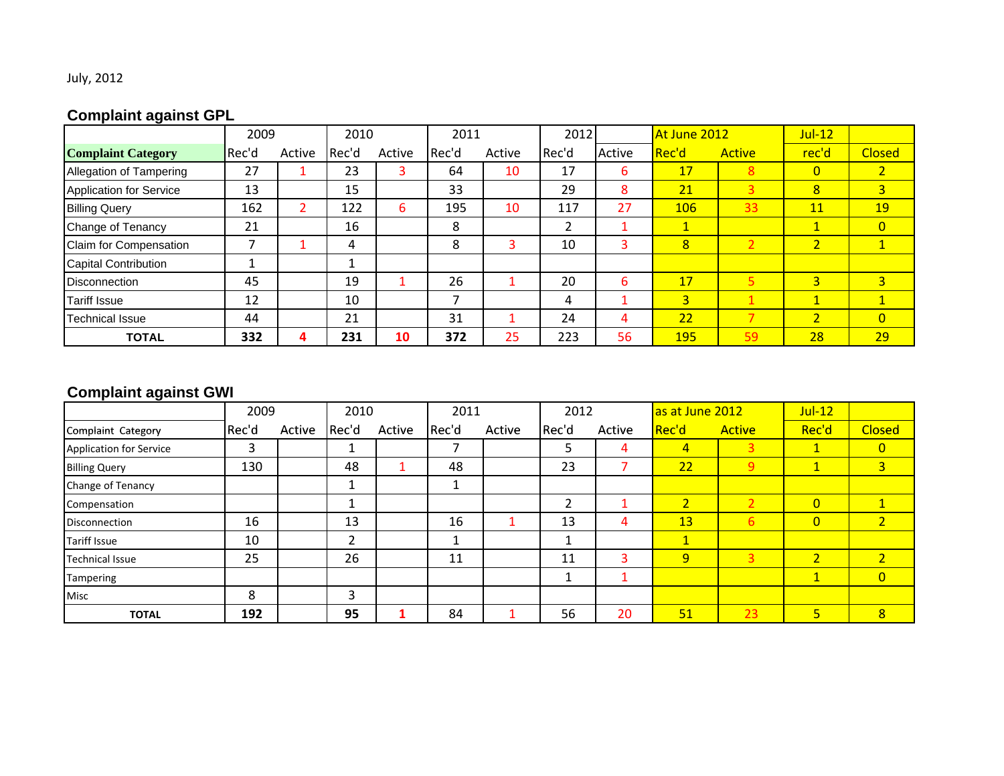## July, 2012

# **Complaint against GPL**

|                                | 2009  |        | 2010  |        | 2011  |        | 2012  |        | At June 2012 |               | $Jul-12$       |                |
|--------------------------------|-------|--------|-------|--------|-------|--------|-------|--------|--------------|---------------|----------------|----------------|
| <b>Complaint Category</b>      | Rec'd | Active | Rec'd | Active | Rec'd | Active | Rec'd | Active | Rec'd        | <b>Active</b> | rec'd          | <b>Closed</b>  |
| Allegation of Tampering        | 27    |        | 23    | 3      | 64    | 10     | 17    | 6      | 17           | 8             | $\overline{0}$ | 2 <sup>1</sup> |
| <b>Application for Service</b> | 13    |        | 15    |        | 33    |        | 29    | 8      | 21           | 3             | 8              | 3 <sup>1</sup> |
| <b>Billing Query</b>           | 162   | ∠      | 122   | 6      | 195   | 10     | 117   | 27     | 106          | 33            | 11             | <b>19</b>      |
| Change of Tenancy              | 21    |        | 16    |        | 8     |        |       |        | 1            |               | $\mathbf{1}$   | $\overline{0}$ |
| Claim for Compensation         |       |        | 4     |        | 8     | 3      | 10    | 3      | 8            | 2             | $\overline{2}$ | $\mathbf{1}$   |
| <b>Capital Contribution</b>    |       |        |       |        |       |        |       |        |              |               |                |                |
| <b>Disconnection</b>           | 45    |        | 19    |        | 26    |        | 20    | 6      | 17           |               | $\overline{3}$ | 3 <sup>1</sup> |
| <b>Tariff Issue</b>            | 12    |        | 10    |        |       |        | 4     |        | 3            |               | $\mathbf{1}$   | $\mathbf{1}$   |
| Technical Issue                | 44    |        | 21    |        | 31    |        | 24    | 4      | 22           |               | $\overline{2}$ | $\overline{0}$ |
| <b>TOTAL</b>                   | 332   |        | 231   | 10     | 372   | 25     | 223   | 56     | <b>195</b>   | 59            | 28             | 29             |

# **Complaint against GWI**

|                                | 2009  |        | 2010  |        | 2011  |        | 2012  |        | as at June 2012 |                | $Jul-12$             |                |
|--------------------------------|-------|--------|-------|--------|-------|--------|-------|--------|-----------------|----------------|----------------------|----------------|
| Complaint Category             | Rec'd | Active | Rec'd | Active | Rec'd | Active | Rec'd | Active | Rec'd           | <b>Active</b>  | Rec'd                | <b>Closed</b>  |
| <b>Application for Service</b> | 3     |        |       |        | –     |        | ⊃     | 4      | $\overline{4}$  | 3              | $\mathbf{1}$         | $\overline{0}$ |
| <b>Billing Query</b>           | 130   |        | 48    |        | 48    |        | 23    |        | 22              | $\overline{9}$ | $\blacktriangleleft$ | 3 <sup>1</sup> |
| Change of Tenancy              |       |        |       |        | Ŧ.    |        |       |        |                 |                |                      |                |
| Compensation                   |       |        |       |        |       |        | 2     |        | $\overline{2}$  | $\overline{2}$ | $\overline{0}$       | $\mathbf{1}$   |
| <b>Disconnection</b>           | 16    |        | 13    |        | 16    |        | 13    | 4      | 13              | 6              | $\overline{0}$       | 2 <sup>1</sup> |
| <b>Tariff Issue</b>            | 10    |        |       |        |       |        |       |        | $\mathbf{1}$    |                |                      |                |
| <b>Technical Issue</b>         | 25    |        | 26    |        | 11    |        | 11    | з      | $\overline{9}$  | 3              | $\overline{2}$       | $\overline{2}$ |
| <b>Tampering</b>               |       |        |       |        |       |        | Τ.    |        |                 |                | $\mathbf{1}$         | $\overline{0}$ |
| Misc                           | 8     |        | 3     |        |       |        |       |        |                 |                |                      |                |
| <b>TOTAL</b>                   | 192   |        | 95    |        | 84    |        | 56    | 20     | 51              | 23             | 5                    | 8              |